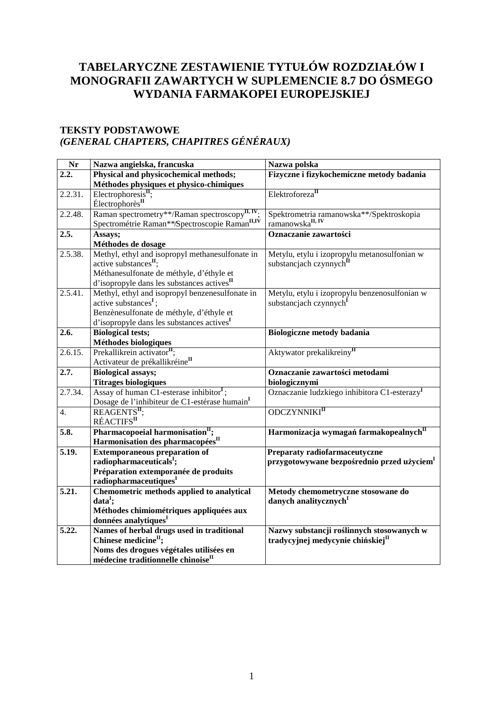# **TABELARYCZNE ZESTAWIENIE TYTUŁÓW ROZDZIAŁÓW I MONOGRAFII ZAWARTYCH W SUPLEMENCIE 8.7 DO ÓSMEGO WYDANIA FARMAKOPEI EUROPEJSKIEJ**

#### **TEKSTY PODSTAWOWE**  *(GENERAL CHAPTERS, CHAPITRES GÉNÉRAUX)*

| Nr                  | Nazwa angielska, francuska                                 | Nazwa polska                                                                  |
|---------------------|------------------------------------------------------------|-------------------------------------------------------------------------------|
| $\overline{2.2.}$   | Physical and physicochemical methods;                      | Fizyczne i fizykochemiczne metody badania                                     |
|                     | Méthodes physiques et physico-chimiques                    |                                                                               |
| 2.2.31.             | $Electrophoresis$ <sup>II</sup> ;                          | Elektroforeza <sup>II</sup>                                                   |
|                     | Électrophorès <sup>II</sup>                                |                                                                               |
| 2.2.48.             | Raman spectrometry**/Raman spectroscopy <sup>II, IV</sup>  | Spektrometria ramanowska<br>**/Spektroskopia ramanowska<br>$^{\rm II, \, IV}$ |
|                     | Spectrométrie Raman**/Spectroscopie Raman <sup>II,IV</sup> |                                                                               |
| 2.5.                | Assays;                                                    | Oznaczanie zawartości                                                         |
|                     | Méthodes de dosage                                         |                                                                               |
| 2.5.38.             | Methyl, ethyl and isopropyl methanesulfonate in            | Metylu, etylu i izopropylu metanosulfonian w                                  |
|                     | active substances <sup>II</sup> ;                          | substancjach czynnych <sup>n</sup>                                            |
|                     | Méthanesulfonate de méthyle, d'éthyle et                   |                                                                               |
|                     | d'isopropyle dans les substances actives <sup>II</sup>     |                                                                               |
| 2.5.41.             | Methyl, ethyl and isopropyl benzenesulfonate in            | Metylu, etylu i izopropylu benzenosulfonian w                                 |
|                     | active substances <sup>1</sup> ;                           | substancjach czynnych <sup>1</sup>                                            |
|                     | Benzènesulfonate de méthyle, d'éthyle et                   |                                                                               |
|                     | d'isopropyle dans les substances actives <sup>I</sup>      |                                                                               |
| 2.6.                | <b>Biological tests;</b>                                   | <b>Biologiczne metody badania</b>                                             |
|                     | Méthodes biologiques                                       |                                                                               |
| 2.6.15.             | Prekallikrein activator <sup>II</sup> ;                    | Aktywator prekalikreiny <sup>II</sup>                                         |
|                     | Activateur de prékallikréine <sup>II</sup>                 |                                                                               |
| 2.7.                | <b>Biological assays;</b>                                  | Oznaczanie zawartości metodami                                                |
|                     | <b>Titrages biologiques</b>                                | biologicznymi                                                                 |
| 2.7.34.             | Assay of human $C1$ -esterase inhibitor <sup>I</sup> ;     | Oznaczanie ludzkiego inhibitora C1-esterazy <sup>I</sup>                      |
|                     | Dosage de l'inhibiteur de C1-estérase humain <sup>I</sup>  |                                                                               |
| 4.                  | $REAGENTS$ <sup>II</sup> :                                 | ODCZYNNIKI <sup>II</sup>                                                      |
|                     | RÉACTIFS <sup>II</sup>                                     |                                                                               |
| 5.8.                | Pharmacopoeial harmonisation <sup>II</sup> ;               | Harmonizacja wymagań farmakopealnych <sup>II</sup>                            |
|                     | Harmonisation des pharmacopées <sup>II</sup>               |                                                                               |
| 5.19.               | <b>Extemporaneous preparation of</b>                       | Preparaty radiofarmaceutyczne                                                 |
|                     | radiopharmaceuticals <sup>1</sup> ;                        | przygotowywane bezpośrednio przed użyciem <sup>I</sup>                        |
|                     | Préparation extemporanée de produits                       |                                                                               |
|                     | radiopharmaceutiques <sup>I</sup>                          |                                                                               |
| $\overline{5.21}$ . | Chemometric methods applied to analytical                  | Metody chemometryczne stosowane do                                            |
|                     | $data1$ ;                                                  | danych analitycznych <sup>1</sup>                                             |
|                     | Méthodes chimiométriques appliquées aux                    |                                                                               |
|                     | données analytiques <sup>I</sup>                           |                                                                               |
| 5.22.               | Names of herbal drugs used in traditional                  | Nazwy substancji roślinnych stosowanych w                                     |
|                     | Chinese medicine <sup>II</sup> ;                           | tradycyjnej medycynie chińskiej <sup>II</sup>                                 |
|                     | Noms des drogues végétales utilisées en                    |                                                                               |
|                     | médecine traditionnelle chinoise <sup>II</sup>             |                                                                               |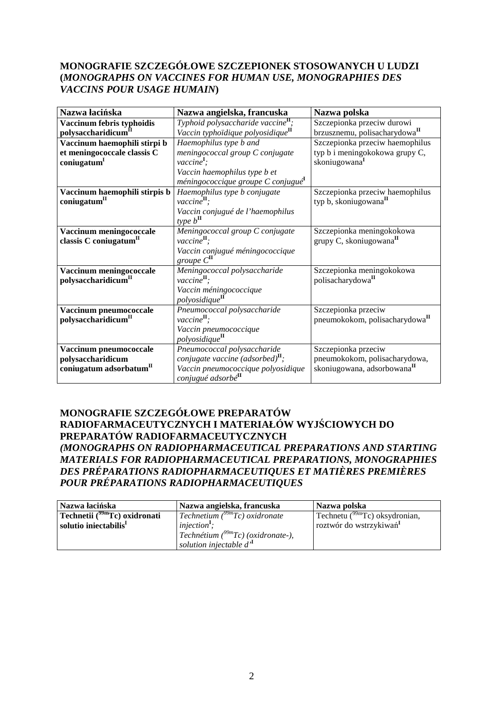#### **MONOGRAFIE SZCZEGÓŁOWE SZCZEPIONEK STOSOWANYCH U LUDZI (***MONOGRAPHS ON VACCINES FOR HUMAN USE, MONOGRAPHIES DES VACCINS POUR USAGE HUMAIN***)**

| Nazwa łacińska                                               | Nazwa angielska, francuska                                                                      | Nazwa polska                                                            |
|--------------------------------------------------------------|-------------------------------------------------------------------------------------------------|-------------------------------------------------------------------------|
| Vaccinum febris typhoidis<br>polysaccharidicum <sup>II</sup> | Typhoid polysaccharide vaccine <sup>II</sup> ;<br>Vaccin typhoïdique polyosidique <sup>II</sup> | Szczepionka przeciw durowi<br>brzusznemu, polisacharydowa <sup>II</sup> |
| Vaccinum haemophili stirpi b                                 | Haemophilus type b and                                                                          | Szczepionka przeciw haemophilus                                         |
| et meningococcale classis C                                  | meningococcal group C conjugate                                                                 | typ b i meningokokowa grupy C,                                          |
| coniugatum <sup>1</sup>                                      | $\textit{vaccine}^{\mathbf{I}}$ ;                                                               | skoniugowana <sup>I</sup>                                               |
|                                                              | Vaccin haemophilus type b et                                                                    |                                                                         |
|                                                              | méningococcique groupe C conjugué <sup>1</sup>                                                  |                                                                         |
| Vaccinum haemophili stirpis b                                | Haemophilus type b conjugate                                                                    | Szczepionka przeciw haemophilus                                         |
| coniugatum <sup>II</sup>                                     | $\text{vaccine}^{\mathbf{II}}$ .                                                                | typ b, skoniugowana <sup>II</sup>                                       |
|                                                              | Vaccin conjugué de l'haemophilus                                                                |                                                                         |
|                                                              | type $b^{\mathrm{II}}$                                                                          |                                                                         |
| Vaccinum meningococcale                                      | Meningococcal group C conjugate                                                                 | Szczepionka meningokokowa                                               |
| classis C coniugatum"                                        | $\textit{vaccine}^{\mathbf{II}}$ ;                                                              | $grupy C$ , skoniugowana $H$                                            |
|                                                              | Vaccin conjugué méningococcique                                                                 |                                                                         |
|                                                              | $\frac{group}{}$ C <sup>II</sup>                                                                |                                                                         |
| Vaccinum meningococcale                                      | Meningococcal polysaccharide                                                                    | Szczepionka meningokokowa                                               |
| polysaccharidicum <sup>II</sup>                              | $\textit{vaccine}^{\mathbf{II}}$ ;                                                              | polisacharydowa <sup>II</sup>                                           |
|                                                              | Vaccin méningococcique                                                                          |                                                                         |
|                                                              | polyosidique <sup>II</sup>                                                                      |                                                                         |
| Vaccinum pneumococcale                                       | Pneumococcal polysaccharide                                                                     | Szczepionka przeciw                                                     |
| polysaccharidicum <sup>II</sup>                              | $\text{vaccine}^{\mathbf{II}}$ ;                                                                | pneumokokom, polisacharydowa <sup>II</sup>                              |
|                                                              | Vaccin pneumococcique                                                                           |                                                                         |
|                                                              | polyosidique <sup>II</sup>                                                                      |                                                                         |
| Vaccinum pneumococcale                                       | Pneumococcal polysaccharide                                                                     | Szczepionka przeciw                                                     |
| polysaccharidicum                                            | conjugate vaccine (adsorbed) $^{\text{II}}$ ;                                                   | pneumokokom, polisacharydowa,                                           |
| coniugatum adsorbatum <sup>II</sup>                          | Vaccin pneumococcique polyosidique                                                              | skoniugowana, adsorbowana <sup>II</sup>                                 |
|                                                              | conjugué adsorbé <sup>II</sup>                                                                  |                                                                         |

#### **MONOGRAFIE SZCZEGÓŁOWE PREPARATÓW RADIOFARMACEUTYCZNYCH I MATERIAŁÓW WYJŚCIOWYCH DO PREPARATÓW RADIOFARMACEUTYCZNYCH**  *(MONOGRAPHS ON RADIOPHARMACEUTICAL PREPARATIONS AND STARTING MATERIALS FOR RADIOPHARMACEUTICAL PREPARATIONS, MONOGRAPHIES DES PRÉPARATIONS RADIOPHARMACEUTIQUES ET MATIÈRES PREMIÈRES POUR PRÉPARATIONS RADIOPHARMACEUTIQUES*

| Nazwa łacińska                                 | Nazwa angielska, francuska             | Nazwa polska                        |
|------------------------------------------------|----------------------------------------|-------------------------------------|
| Technetii ( $\overline{^{99m}Tc}$ ) oxidronati | $Technetium (9999mTc) oxidronate$      | Technetu $(^{99m}Tc)$ oksydronian,  |
| solutio iniectabilis <sup>1</sup>              | $injection1$ ;                         | roztwór do wstrzykiwań <sup>I</sup> |
|                                                | Technétium $(^{99m}Tc)$ (oxidronate-), |                                     |
|                                                | solution injectable $d'$               |                                     |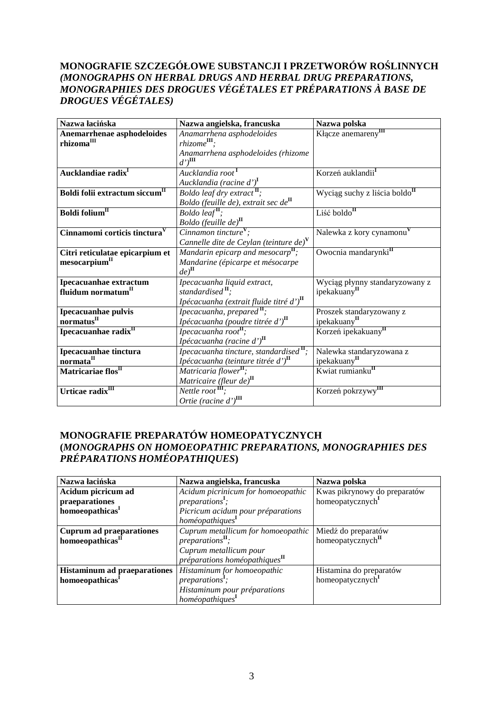### **MONOGRAFIE SZCZEGÓŁOWE SUBSTANCJI I PRZETWORÓW ROŚLINNYCH**  *(MONOGRAPHS ON HERBAL DRUGS AND HERBAL DRUG PREPARATIONS, MONOGRAPHIES DES DROGUES VÉGÉTALES ET PRÉPARATIONS À BASE DE DROGUES VÉGÉTALES)*

| Nazwa łacińska                                               | Nazwa angielska, francuska                                                                                        | Nazwa polska                                               |
|--------------------------------------------------------------|-------------------------------------------------------------------------------------------------------------------|------------------------------------------------------------|
| Anemarrhenae asphodeloides<br>rhizoma <sup>III</sup>         | Anamarrhena asphodeloides<br>$\mathit{rhizome}^{\mathrm{III}}$ :                                                  | Kłącze anemareny <sup>III</sup>                            |
|                                                              | Anamarrhena asphodeloides (rhizome<br>$d$ ') $^{\rm III}$                                                         |                                                            |
| Aucklandiae radix <sup>I</sup>                               | Aucklandia root <sup>1</sup><br>Aucklandia (racine d') <sup>I</sup>                                               | Korzeń auklandii <sup>1</sup>                              |
| Boldi folii extractum siccum <sup>II</sup>                   | Boldo leaf dry extract <sup>II</sup> ;<br>Boldo (feuille de), extrait sec de <sup>II</sup>                        | Wyciąg suchy z liścia boldo <sup>n</sup>                   |
| Boldi folium <sup>II</sup>                                   | Boldo leaf <sup>II</sup> ;                                                                                        | Liść boldo $^{\text{II}}$                                  |
| Cinnamomi corticis tinctura <sup>V</sup>                     | Boldo (feuille de) <sup>II</sup><br>Cinnamon tincture <sup>V</sup> ;<br>Cannelle dite de Ceylan (teinture de) $V$ | Nalewka z kory cynamonu <sup>v</sup>                       |
| Citri reticulatae epicarpium et<br>mesocarpium <sup>II</sup> | Mandarin epicarp and mesocarp $\mathbf{u}$ ;<br>Mandarine (épicarpe et mésocarpe<br>$de^{\mathrm{II}}$            | Owocnia mandarynki <sup>II</sup>                           |
| Ipecacuanhae extractum<br>fluidum normatum <sup>II</sup>     | Ipecacuanha liquid extract,<br>standardised $\mathbf{u}$ ;<br>Ipécacuanha (extrait fluide titré d') <sup>II</sup> | Wyciąg płynny standaryzowany z<br>ipekakuany <sup>II</sup> |
| Ipecacuanhae pulvis<br>normatus <sup>II</sup>                | Ipecacuanha, prepared <sup>II</sup> ;<br>Ipécacuanha (poudre titrée d') $^{\text{II}}$                            | Proszek standaryzowany z<br>ipekakuany <sup>II</sup>       |
| Ipecacuanhae radixII                                         | Ipecacuanha root <sup>11</sup> ;<br>Ipécacuanha (racine d') $^{\text{II}}$                                        | Korzeń ipekakuany <sup>II</sup>                            |
| Ipecacuanhae tinctura<br>normata <sup>II</sup>               | Ipecacuanha tincture, standardised <sup>II</sup> ;<br>Ipécacuanha (teinture titrée d') $^{\text{II}}$             | Nalewka standaryzowana z<br>ipekakuany <sup>II</sup>       |
| Matricariae flos <sup>II</sup>                               | Matricaria flower <sup>II</sup> ;<br><i>Matricaire</i> (fleur de) <sup>II</sup><br>Nettle root <sup>III</sup> ;   | Kwiat rumianku <sup>II</sup>                               |
| Urticae radix <sup>III</sup>                                 | Ortie (racine $d$ ') $^{\text{III}}$                                                                              | Korzeń pokrzywy <sup>III</sup>                             |

## **MONOGRAFIE PREPARATÓW HOMEOPATYCZNYCH (***MONOGRAPHS ON HOMOEOPATHIC PREPARATIONS, MONOGRAPHIES DES PRÉPARATIONS HOMÉOPATHIQUES***)**

| Nazwa łacińska                                                      | Nazwa angielska, francuska                                                                                                      | Nazwa polska                                                 |
|---------------------------------------------------------------------|---------------------------------------------------------------------------------------------------------------------------------|--------------------------------------------------------------|
| Acidum picricum ad<br>praeparationes<br>homoeopathicas <sup>1</sup> | Acidum picrinicum for homoeopathic<br><i>preparations<sup>I</sup>;</i><br>Picricum acidum pour préparations<br>homéopathiques   | Kwas pikrynowy do preparatów<br>homeopatycznych <sup>I</sup> |
| <b>Cuprum ad praeparationes</b><br>homoeopathicas <sup>II</sup>     | Cuprum metallicum for homoeopathic<br>$preparationsH$ ;<br>Cuprum metallicum pour<br>$p$ réparations homéopathiques $^{\rm II}$ | Miedź do preparatów<br>homeopatycznych <sup>II</sup>         |
| <b>Histaminum ad praeparationes</b><br>homoeopathicas <sup>1</sup>  | Histaminum for homoeopathic<br>preparations <sup>1</sup> ;<br>Histaminum pour préparations<br>homéopathiques <sup>I</sup>       | Histamina do preparatów<br>homeopatycznych <sup>1</sup>      |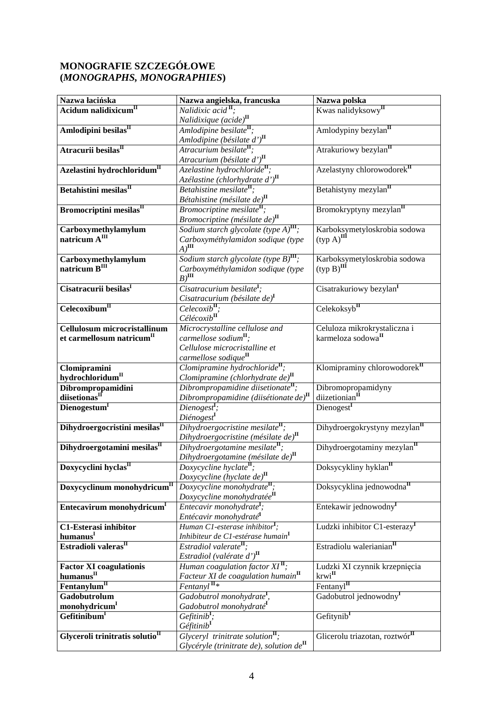## **MONOGRAFIE SZCZEGÓŁOWE (***MONOGRAPHS, MONOGRAPHIES***)**

| Nazwa łacińska                                                                                | Nazwa angielska, francuska                                                      | Nazwa polska                                                                                 |
|-----------------------------------------------------------------------------------------------|---------------------------------------------------------------------------------|----------------------------------------------------------------------------------------------|
| Acidum nalidixicum <sup>II</sup>                                                              | Nalidixic acid $\mathbf{I}$ :                                                   | Kwas nalidyksowy"                                                                            |
|                                                                                               |                                                                                 |                                                                                              |
| Amlodipini besilas <sup>II</sup>                                                              | <i>Nalidixique</i> (acide) <sup>II</sup><br>Amlodipine besilate <sup>II</sup> ; | Amlodypiny bezylan <sup>II</sup>                                                             |
|                                                                                               | Amlodipine (bésilate d') <sup>II</sup>                                          |                                                                                              |
| Atracurii besilas <sup>II</sup>                                                               | Atracurium besilate <sup>II</sup> ;                                             | Atrakuriowy bezylan <sup>II</sup>                                                            |
|                                                                                               | Atracurium (bésilate d') $^{\text{II}}$                                         |                                                                                              |
| Azelastini hydrochloridum <sup>II</sup>                                                       | Azelastine hydrochloride <sup>II</sup> ;                                        | Azelastyny chlorowodorek <sup>II</sup>                                                       |
|                                                                                               | Azélastine (chlorhydrate d') <sup>II</sup>                                      |                                                                                              |
| Betahistini mesilas <sup>II</sup>                                                             | Betahistine mesilate";                                                          | Betahistyny mezylan <sup>II</sup>                                                            |
|                                                                                               | Bétahistine (mésilate de) $^{\text{II}}$                                        |                                                                                              |
| Bromocriptini mesilas <sup>II</sup>                                                           | Bromocriptine mesilate <sup>II</sup> ;                                          | Bromokryptyny mezylan <sup>II</sup>                                                          |
|                                                                                               | Bromocriptine (mésilate de) $^{\text{II}}$                                      |                                                                                              |
|                                                                                               | Sodium starch glycolate (type $A$ ) $^{\text{III}}$ ;                           | Karboksymetyloskrobia sodowa                                                                 |
| Carboxymethylamylum<br>natricum $A^{III}$                                                     | Carboxyméthylamidon sodique (type                                               | $(typ A)$ <sup>III</sup>                                                                     |
|                                                                                               | $A)$ III                                                                        |                                                                                              |
|                                                                                               | Sodium starch glycolate (type $B$ ) $^{\text{III}}$ ;                           |                                                                                              |
| $\bf Carboxymethylamylum$ natricum $\bf B^{III}$                                              | Carboxyméthylamidon sodique (type                                               | Karboksymetyloskrobia sodowa<br>$(typ B)$ <sup>III</sup>                                     |
|                                                                                               | $B)$ <sup>III</sup>                                                             |                                                                                              |
| Cisatracurii besilas <sup>I</sup>                                                             | Cisatracurium besilate <sup>I</sup> ;                                           |                                                                                              |
|                                                                                               |                                                                                 | Cisatrakuriowy bezylan <sup>I</sup>                                                          |
| Celecoxibum <sup>II</sup>                                                                     | Cisatracurium (bésilate de) <sup>I</sup>                                        | Celekoksyb <sup>II</sup>                                                                     |
|                                                                                               | $CelecoxibII$ ;<br>Célécoxib <sup>II</sup>                                      |                                                                                              |
|                                                                                               |                                                                                 |                                                                                              |
| Cellulosum microcristallinum                                                                  | Microcrystalline cellulose and                                                  | Celuloza mikrokrystaliczna i                                                                 |
| et carmellosum natricum $^{\mathrm{II}}$                                                      | carmellose sodium <sup>II</sup> ;                                               | karmeloza sodowa <sup>II</sup>                                                               |
|                                                                                               | Cellulose microcristalline et                                                   |                                                                                              |
|                                                                                               | carmellose sodique <sup>II</sup>                                                |                                                                                              |
| Clomipramini                                                                                  | Clomipramine hydrochloride <sup>II</sup> ;                                      | Klomipraminy chlorowodorek <sup>II</sup>                                                     |
| hydrochloridum <sup>II</sup>                                                                  | Clomipramine (chlorhydrate de) $^{\text{II}}$                                   |                                                                                              |
| $\begin{array}{ll} \textbf{Dibrompropamidini} \\ \textbf{dijsetonas}^{\text{II}} \end{array}$ | Dibrompropamidine diisetionate <sup>II</sup> ;                                  | $\begin{array}{ll}\n\text{Dibromopropamidyny} \n\text{dizetionian}^{\text{II}}\n\end{array}$ |
|                                                                                               | Dibrompropamidine (diisétionate de) $^{\text{II}}$                              |                                                                                              |
| Dienogestum <sup>I</sup>                                                                      | $Dienogest$ <sup>I</sup> ;                                                      | Dienogest <sup>I</sup>                                                                       |
|                                                                                               | Diénogest                                                                       |                                                                                              |
| Dihydroergocristini mesilas <sup>II</sup>                                                     | Dihydroergocristine mesilate $\mathbf{u}$ ;                                     | Dihydroergokrystyny mezylan <sup>II</sup>                                                    |
|                                                                                               | Dihydroergocristine (mésilate de) $^{\text{II}}$                                |                                                                                              |
| Dihydroergotamini mesilas <sup>II</sup>                                                       | Dihydroergotamine mesilate <sup>II</sup> ;                                      | Dihydroergotaminy mezylan <sup>II</sup>                                                      |
|                                                                                               | Dihydroergotamine (mésilate de) $^{\text{II}}$                                  |                                                                                              |
| Doxycyclini hyclas <sup>II</sup>                                                              | $Doxycyclic$ hyclate <sup>II</sup> ;                                            | Doksycykliny hyklan <sup>II</sup>                                                            |
|                                                                                               | Doxycycline (hyclate de) <sup>1</sup>                                           |                                                                                              |
| Doxycyclinum monohydricum ${}^{\mathrm{II}}$                                                  | Doxycycline monohydrate <sup>II</sup> ;                                         | Doksycyklina jednowodna <sup>II</sup>                                                        |
|                                                                                               | Doxycycline monohydratée <sup>II</sup>                                          |                                                                                              |
| Entecavirum monohydricum <sup>I</sup>                                                         | Entecavir monohydrate <sup>I</sup> ;                                            | Entekawir jednowodny <sup>I</sup>                                                            |
|                                                                                               | Entécavir monohydraté <sup>I</sup>                                              |                                                                                              |
| C1-Esterasi inhibitor                                                                         | Human C1-esterase inhibitor <sup>I</sup> ;                                      | Ludzki inhibitor C1-esterazy <sup>I</sup>                                                    |
| humanus                                                                                       | Inhibiteur de C1-estérase humain <sup>I</sup>                                   |                                                                                              |
| Estradioli valeras <sup>II</sup>                                                              | Estradiol valerate <sup>II</sup> ;                                              | Estradiolu walerianian <sup>II</sup>                                                         |
|                                                                                               | Estradiol (valérate d') <sup>II</sup>                                           |                                                                                              |
| <b>Factor XI coagulationis</b>                                                                | Human $\overline{coagulation factor XI^{\mathbf{II}}};$                         | Ludzki XI czynnik krzepnięcia                                                                |
| humanus <sup>II</sup>                                                                         | Facteur XI de coagulation humain <sup>II</sup>                                  | $k r w i$ <sup>II</sup>                                                                      |
| Fentanylum <sup>II</sup>                                                                      | $Fentanyl$ <sup>II*</sup>                                                       | Fentanyl <sup>II</sup>                                                                       |
| Gadobutrolum                                                                                  | Gadobutrol monohydrate <sup>1</sup> ,                                           | Gadobutrol jednowodny <sup>1</sup>                                                           |
| monohydricum <sup>I</sup>                                                                     | Gadobutrol monohydraté <sup>I</sup>                                             |                                                                                              |
| Gefitinibum <sup>I</sup>                                                                      | $G$ efitini $b^1$ ;                                                             | Gefitynib <sup>I</sup>                                                                       |
|                                                                                               | Géfitinib <sup>I</sup>                                                          |                                                                                              |
| Glyceroli trinitratis solutio <sup>II</sup>                                                   | Glyceryl trinitrate solution <sup>II</sup> ;                                    | Glicerolu triazotan, roztwór <sup>II</sup>                                                   |
|                                                                                               | Glycéryle (trinitrate de), solution $de^{\mathbf{II}}$                          |                                                                                              |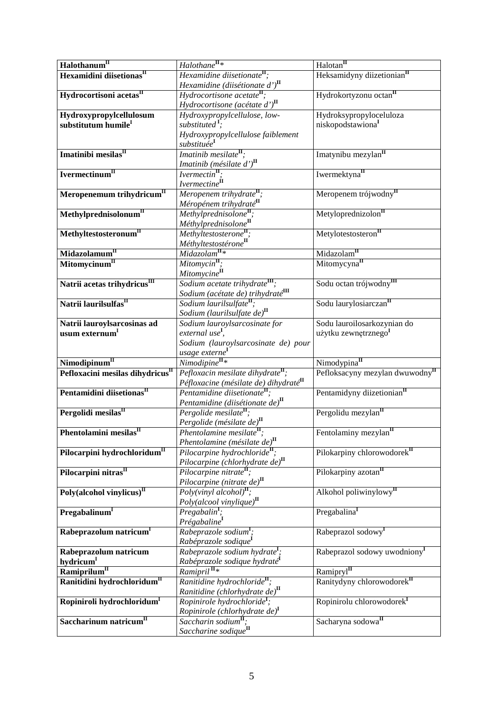| Halothanum <sup>II</sup>                     | $Halothane$ <sup>II</sup> *                                                               | Halotan <sup>II</sup>                       |
|----------------------------------------------|-------------------------------------------------------------------------------------------|---------------------------------------------|
| Hexamidini diisetionas <sup>II</sup>         | Hexamidine diisetionate <sup><math>\mathbf{u}</math></sup> ;                              | Heksamidyny diizetionian <sup>II</sup>      |
|                                              | Hexamidine (diisétionate d') $^{\text{II}}$                                               |                                             |
| Hydrocortisoni acetas <sup>II</sup>          | Hydrocortisone acetate <sup>II</sup> ;                                                    | Hydrokortyzonu octan <sup>II</sup>          |
|                                              | Hydrocortisone (acétate $d^{\prime}$ ) <sup>II</sup>                                      |                                             |
| Hydroxypropylcellulosum                      | Hydroxypropylcellulose, low-                                                              | Hydroksypropyloceluloza                     |
| substitutum humile <sup>I</sup>              | substituted <sup>1</sup> ;                                                                | niskopodstawiona <sup>I</sup>               |
|                                              | Hydroxypropylcellulose faiblement                                                         |                                             |
|                                              | substituée <sup>I</sup>                                                                   |                                             |
| Imatinibi mesilas <sup>II</sup>              | Imatinib mesilate <sup>II</sup> ;                                                         | Imatynibu mezylan <sup>II</sup>             |
|                                              |                                                                                           |                                             |
| Ivermectinum <sup>II</sup>                   | <i>Imatinib</i> ( <i>mésilate d'</i> ) <sup>II</sup><br><i>Ivermectin</i> <sup>II</sup> : | Iwermektyna <sup>II</sup>                   |
|                                              | Ivermectine <sup>II</sup>                                                                 |                                             |
| Meropenemum trihydricum <sup>II</sup>        |                                                                                           | Meropenem trójwodny <sup>II</sup>           |
|                                              | Meropenem trihydrate <sup>II</sup> ;                                                      |                                             |
|                                              | Méropénem trihydraté <sup>II</sup>                                                        |                                             |
| $Meth$ ylprednisolonum $^{\rm II}$           | Methylprednisolone <sup>II</sup> ;                                                        | Metyloprednizolon <sup>II</sup>             |
|                                              | Méthylprednisolone <sup>II</sup>                                                          |                                             |
| Methyltestosteronum <sup>II</sup>            | Methyltestosterone <sup>II</sup> ;                                                        | Metylotestosteron <sup>II</sup>             |
|                                              | Méthyltestostérone <sup>II</sup><br>Midazolam <sup>II</sup> *                             |                                             |
| Midazolamum <sup>II</sup>                    |                                                                                           | Midazolam <sup>II</sup>                     |
| Mitomycinum <sup>II</sup>                    | $Mitomycin$ <sup>II</sup> ;                                                               | Mitomycyna <sup>II</sup>                    |
|                                              | Mitomycine <sup>II</sup>                                                                  |                                             |
| Natrii acetas trihydricus <sup>III</sup>     | Sodium acetate trihydrate <sup>m</sup> ;                                                  | Sodu octan trójwodny <sup>III</sup>         |
|                                              | Sodium (acétate de) trihydraté <sup>III</sup>                                             |                                             |
| Natrii laurilsulfas <sup>II</sup>            | Sodium laurilsulfate <sup>II</sup> ;                                                      | Sodu laurylosiarczanII                      |
|                                              | Sodium (laurilsulfate de) <sup>II</sup>                                                   |                                             |
| Natrii lauroylsarcosinas ad                  | Sodium lauroylsarcosinate for                                                             | Sodu lauroilosarkozynian do                 |
| usum externum <sup>I</sup>                   | external use <sup>I</sup> ,                                                               | użytku zewnętrznego <sup>I</sup>            |
|                                              | Sodium (lauroylsarcosinate de) pour                                                       |                                             |
|                                              | usage externe <sup>1</sup><br>Nimodipine <sup>II</sup> *                                  |                                             |
| Nimodipinum <sup>II</sup>                    |                                                                                           | Nimodypina <sup>II</sup>                    |
| Pefloxacini mesilas dihydricus <sup>II</sup> | Pefloxacin mesilate dihydrate $\mathbf{u}$ ;                                              | Pefloksacyny mezylan dwuwodny <sup>II</sup> |
|                                              | Péfloxacine (mésilate de) dihydraté <sup>II</sup>                                         |                                             |
| Pentamidini diisetionas <sup>II</sup>        | Pentamidine diisetionate <sup>II</sup> ;                                                  | Pentamidyny diizetionian <sup>II</sup>      |
|                                              | Pentamidine (diisétionate de) $^{\text{II}}$                                              |                                             |
| Pergolidi mesilas <sup>II</sup>              | Pergolide mesilate <sup>II</sup> ;                                                        | Pergolidu mezylan <sup>II</sup>             |
|                                              | Pergolide (mésilate de) <sup>II</sup>                                                     |                                             |
| Phentolamini mesilas $^{\text{II}}$          | Phentolamine mesilate <sup>II</sup> ;                                                     | Fentolaminy mezylan <sup>II</sup>           |
|                                              | Phentolamine (mésilate de) $^{\text{II}}$                                                 |                                             |
| Pilocarpini hydrochloridum <sup>II</sup>     | Pilocarpine hydrochloride <sup>II</sup> ;                                                 | Pilokarpiny chlorowodore $k^{\text{II}}$    |
|                                              | Pilocarpine (chlorhydrate de) $^{\text{II}}$                                              |                                             |
| Pilocarpini nitras <sup>II</sup>             | Pilocarpine nitrate <sup>II</sup> ;                                                       | Pilokarpiny azotan <sup>II</sup>            |
|                                              | Pilocarpine (nitrate de) $^{\text{II}}$                                                   |                                             |
| $Poly(alcohol$ vinylicus) <sup>II</sup>      | $Poly(vinv1 \, alcohol)^{\mathbf{II}}$ ;                                                  | Alkohol poliwinylowy <sup>II</sup>          |
|                                              | $Poly(alcool \ will uue)^{II}$                                                            |                                             |
| Pregabalinum <sup>I</sup>                    | Pregabalin <sup>1</sup> ;                                                                 | Pregabalina <sup>I</sup>                    |
|                                              | Prégabaline                                                                               |                                             |
| Rabeprazolum natricum <sup>1</sup>           | Rabeprazole sodium <sup>1</sup> ;                                                         | Rabeprazol sodowy                           |
|                                              | Rabéprazole sodique <sup>l</sup>                                                          |                                             |
| Rabeprazolum natricum                        | Rabeprazole sodium hydrate <sup>1</sup> ;                                                 | Rabeprazol sodowy uwodniony <sup>1</sup>    |
| hydricum <sup>l</sup>                        | Rabéprazole sodique hydraté <sup>I</sup><br>Ramipril <sup>'II</sup> *                     |                                             |
| Ramiprilum <sup>II</sup>                     |                                                                                           | Ramipryl <sup>II</sup>                      |
| Ranitidini hydrochloridum <sup>II</sup>      | Ranitidine hydrochloride <sup>II</sup> ;                                                  | Ranitydyny chlorowodorek <sup>II</sup>      |
|                                              |                                                                                           |                                             |
|                                              | Ranitidine (chlorhydrate de) $^{\text{II}}$                                               |                                             |
| Ropiniroli hydrochloridum <sup>I</sup>       | Ropinirole hydrochloride <sup>I</sup> ;                                                   | Ropinirolu chlorowodorek <sup>I</sup>       |
|                                              | Ropinirole (chlorhydrate de) <sup>I</sup>                                                 |                                             |
| Saccharinum natricum $II$                    | Saccharin sodium <sup>II</sup> ;<br>Saccharine sodique <sup>II</sup>                      | Sacharyna sodowa <sup>II</sup>              |